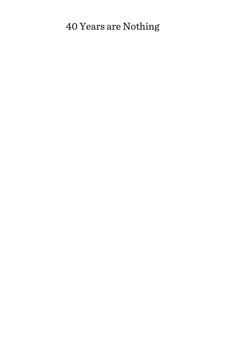# 40 Years are Nothing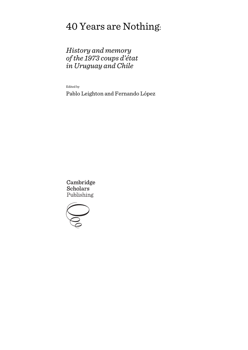# 40 Years are Nothing:

# *History and memory of the 1973 coups d'état in Uruguay and Chile*

Edited by Pablo Leighton and Fernando López

Cambridge **Scholars** Publishing

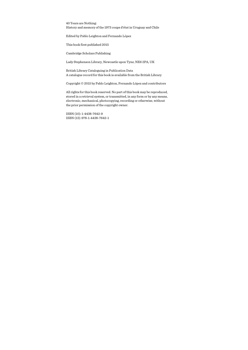40 Years are Nothing: History and memory of the 1973 coups d'état in Uruguay and Chile

Edited by Pablo Leighton and Fernando López

This book first published 2015

Cambridge Scholars Publishing

Lady Stephenson Library, Newcastle upon Tyne, NE6 2PA, UK

British Library Cataloguing in Publication Data A catalogue record for this book is available from the British Library

Copyright © 2015 by Pablo Leighton, Fernando López and contributors

All rights for this book reserved. No part of this book may be reproduced, stored in a retrieval system, or transmitted, in any form or by any means, electronic, mechanical, photocopying, recording or otherwise, without the prior permission of the copyright owner.

ISBN (10): 1-4438-7642-9 ISBN (13): 978-1-4438-7642-1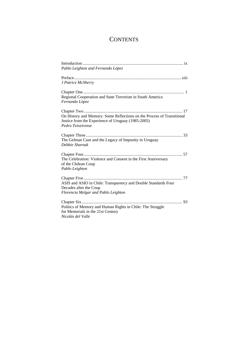## **CONTENTS**

| Pablo Leighton and Fernando López                                                                                                                 |
|---------------------------------------------------------------------------------------------------------------------------------------------------|
| J Patrice McSherry                                                                                                                                |
| Regional Cooperation and State Terrorism in South America<br>Fernando López                                                                       |
| On History and Memory: Some Reflections on the Process of Transitional<br>Justice from the Experience of Uruguay (1985-2005)<br>Pedro Teixeirense |
| The Gelman Case and the Legacy of Impunity in Uruguay<br>Debbie Sharnak                                                                           |
| The Celebration: Violence and Consent in the First Anniversary<br>of the Chilean Coup<br>Pablo Leighton                                           |
| ASIS and ASIO in Chile: Transparency and Double Standards Four<br>Decades after the Coup<br>Florencia Melgar and Pablo Leighton                   |
| Politics of Memory and Human Rights in Chile: The Struggle<br>for Memorials in the 21st Century<br>Nicolás del Valle                              |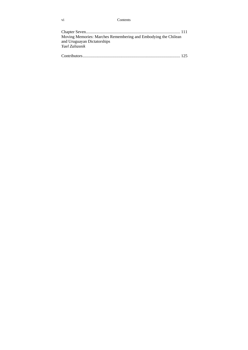### vi Contents

| Moving Memories: Marches Remembering and Embodying the Chilean |  |
|----------------------------------------------------------------|--|
| and Uruguayan Dictatorships                                    |  |
| Yael Zaliasnik                                                 |  |
|                                                                |  |
|                                                                |  |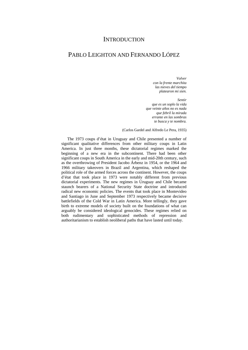## **INTRODUCTION**

## PARLO LEIGHTON AND FERNANDO LÓPEZ

*Volver con la frente marchita las nieves del tiempo platearon mi sien.* 

*Sentir* 

*que es un soplo la vida que veinte años no es nada que febril la mirada errante en las sombras te busca y te nombra.* 

(Carlos Gardel and Alfredo Le Pera, 1935)

The 1973 coups d'état in Uruguay and Chile presented a number of significant qualitative differences from other military coups in Latin America. In just three months, these dictatorial regimes marked the beginning of a new era in the subcontinent. There had been other significant coups in South America in the early and mid-20th century, such as the overthrowing of President Jacobo Árbenz in 1954, or the 1964 and 1966 military takeovers in Brazil and Argentina, which reshaped the political role of the armed forces across the continent. However, the coups d'état that took place in 1973 were notably different from previous dictatorial experiments. The new regimes in Uruguay and Chile became staunch bearers of a National Security State doctrine and introduced radical new economic policies. The events that took place in Montevideo and Santiago in June and September 1973 respectively became decisive battlefields of the Cold War in Latin America. More tellingly, they gave birth to extreme models of society built on the foundations of what can arguably be considered ideological genocides. These regimes relied on both rudimentary and sophisticated methods of repression and authoritarianism to establish neoliberal paths that have lasted until today.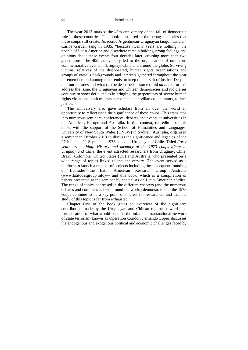#### viii Introduction

The year 2013 marked the 40th anniversary of the fall of democratic rule in those countries. This book is inspired in the strong memories that these coups still create. As iconic Argentinean-Uruguayan tango musician, Carlos Gardel, sang in 1935, "because twenty years are nothing", the people of Latin America and elsewhere remain holding strong feelings and opinions about these events four decades later, crossing more than two generations. The 40th anniversary led to the organisation of numerous commemorative events in Uruguay, Chile and around the globe. Surviving victims, relatives of the disappeared, human rights organisations and groups of various backgrounds and interests gathered throughout the year to remember, and among other ends, to keep the pursuit of justice. Despite the four decades and what can be described as some timid *ad hoc* efforts to address the issue, the Uruguayan and Chilean democracies and judiciaries continue to show deficiencies in bringing the perpetrators of severe human rights violations, both military personnel and civilian collaborators, to face justice.

The anniversary also gave scholars from all over the world an opportunity to reflect upon the significance of these coups. This translated into numerous seminars, conferences, debates and events at universities in the Americas, Europe and Australia. In this context, the editors of this book, with the support of the School of Humanities and Languages, University of New South Wales (UNSW) in Sydney, Australia, organised a seminar in October 2013 to discuss the significance and legacies of the 27 June and 11 September 1973 coups in Uruguay and Chile. Titled *Forty years are nothing: History and memory of the 1973 coups d'état in Uruguay and Chile,* the event attracted researchers from Uruguay, Chile, Brazil, Colombia, United States (US) and Australia who presented on a wide range of topics linked to the anniversary. The event served as a platform to launch a number of projects including the subsequent founding of Latitudes—the Latin American Research Group Australia (www.latitudesgroup.info)— and this book, which is a compilation of papers presented at the seminar by specialists on Latin American studies. The range of topics addressed in the different chapters (and the numerous debates and conferences held around the world) demonstrate that the 1973 coups continue to be a key point of interest for researchers and that the study of this topic is far from exhausted.

Chapter One of the book gives an overview of the significant contribution made by the Uruguayan and Chilean regimes towards the formalisation of what would become the infamous transnational network of state terrorism known as Operation Condor. Fernando López discusses the endogenous and exogenous political and economic challenges faced by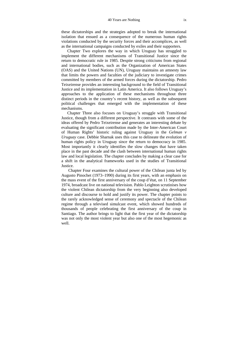these dictatorships and the strategies adopted to break the international isolation that ensued as a consequence of the numerous human rights violations conducted by the security forces and their accomplices, as well as the international campaigns conducted by exiles and their supporters.

Chapter Two explores the way in which Uruguay has struggled to implement the different mechanisms of Transitional Justice since the return to democratic rule in 1985. Despite strong criticisms from regional and international bodies, such as the Organization of American States (OAS) and the United Nations (UN), Uruguay maintains an amnesty law that limits the powers and faculties of the judiciary to investigate crimes committed by members of the armed forces during the dictatorship. Pedro Teixeirense provides an interesting background to the field of Transitional Justice and its implementation in Latin America. It also follows Uruguay's approaches to the application of these mechanisms throughout three distinct periods in the country's recent history, as well as the subsequent political challenges that emerged with the implementation of these mechanisms.

Chapter Three also focuses on Uruguay's struggle with Transitional Justice, though from a different perspective. It contrasts with some of the ideas offered by Pedro Teixeirense and generates an interesting debate by evaluating the significant contribution made by the Inter-American Court of Human Rights' historic ruling against Uruguay in the *Gelman v Uruguay* case. Debbie Sharnak uses this case to delineate the evolution of human rights policy in Uruguay since the return to democracy in 1985. Most importantly it clearly identifies the slow changes that have taken place in the past decade and the clash between international human rights law and local legislation. The chapter concludes by making a clear case for a shift in the analytical frameworks used in the studies of Transitional **Justice** 

 Chapter Four examines the cultural power of the Chilean junta led by Augusto Pinochet (1973–1990) during its first years, with an emphasis on the mass event of the first anniversary of the coup d'état, on 11 September 1974, broadcast live on national television. Pablo Leighton scrutinises how the violent Chilean dictatorship from the very beginning also developed culture and discourse to hold and justify its power. The chapter points to the rarely acknowledged sense of ceremony and spectacle of the Chilean regime through a televised simulcast event, which showed hundreds of thousands of people celebrating the first anniversary of the coup in Santiago. The author brings to light that the first year of the dictatorship was not only the most violent year but also one of the most hegemonic as well.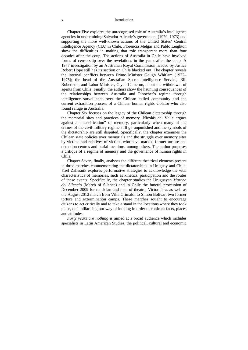#### x Introduction

Chapter Five explores the unrecognised role of Australia's intelligence agencies in undermining Salvador Allende's government (1970–1973) and supporting the more well-known actions of the United States' Central Intelligence Agency (CIA) in Chile. Florencia Melgar and Pablo Leighton show the difficulties in making that role transparent more than four decades after the coup. The actions of Australia in Chile have involved forms of censorship over the revelations in the years after the coup. A 1977 investigation by an Australian Royal Commission headed by Justice Robert Hope still has its section on Chile blacked out. The chapter reveals the internal conflicts between Prime Minister Gough Whitlam (1972– 1975); the head of the Australian Secret Intelligence Service, Bill Robertson; and Labor Minister, Clyde Cameron, about the withdrawal of agents from Chile. Finally, the authors show the haunting consequences of the relationships between Australia and Pinochet's regime through intelligence surveillance over the Chilean exiled community and the current extradition process of a Chilean human rights violator who also found refuge in Australia.

Chapter Six focuses on the legacy of the Chilean dictatorship through the memorial sites and practices of memory. Nicolás del Valle argues against a "museification" of memory, particularly when many of the crimes of the civil-military regime still go unpunished and the symbols of the dictatorship are still disputed. Specifically, the chapter examines the Chilean state policies over memorials and the struggle over memory sites by victims and relatives of victims who have marked former torture and detention centres and burial locations, among others. The author proposes a critique of a regime of memory and the governance of human rights in Chile.

Chapter Seven, finally, analyses the different theatrical elements present in three marches commemorating the dictatorships in Uruguay and Chile. Yael Zaliasnik explores performative strategies to acknowledge the vital characteristics of memories, such as kinetics, participation and the routes of these events. Specifically, the chapter studies the Uruguayan *Marcha del Silencio* (March of Silence) and in Chile the funeral procession of December 2009 for musician and man of theatre, Víctor Jara, as well as the August 2012 march from Villa Grimaldi to Simón Bolívar, two former torture and extermination camps. These marches sought to encourage citizens to act critically and to take a stand in the locations where they took place, defamiliarising our way of looking in order to confront facts, places and attitudes.

*Forty years are nothing* is aimed at a broad audience which includes specialists in Latin American Studies, the political, cultural and economic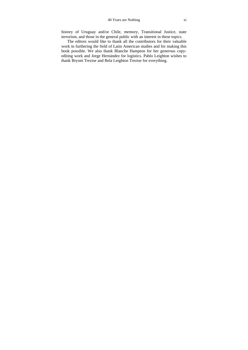history of Uruguay and/or Chile, memory, Transitional Justice, state terrorism, and those in the general public with an interest in these topics.

The editors would like to thank all the contributors for their valuable work in furthering the field of Latin American studies and for making this book possible. We also thank Blanche Hampton for her generous copyediting work and Jorge Hernández for logistics. Pablo Leighton wishes to thank Bryoni Trezise and Bela Leighton Trezise for everything.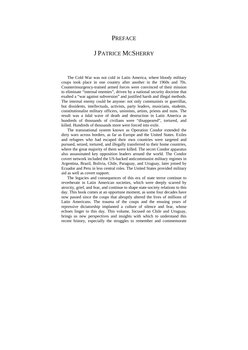## **PREFACE**

## J PATRICE MCSHERRY

The Cold War was not cold in Latin America, where bloody military coups took place in one country after another in the 1960s and 70s. Counterinsurgency-trained armed forces were convinced of their mission to eliminate "internal enemies", driven by a national security doctrine that exalted a "war against subversion" and justified harsh and illegal methods. The internal enemy could be anyone: not only communists or guerrillas, but dissidents, intellectuals, activists, party leaders, musicians, students, constitutionalist military officers, unionists, artists, priests and nuns. The result was a tidal wave of death and destruction in Latin America as hundreds of thousands of civilians were "disappeared", tortured, and killed. Hundreds of thousands more were forced into exile.

The transnational system known as Operation Condor extended the dirty wars across borders, as far as Europe and the United States. Exiles and refugees who had escaped their own countries were targeted and pursued, seized, tortured, and illegally transferred to their home countries, where the great majority of them were killed. The secret Condor apparatus also assassinated key opposition leaders around the world. The Condor covert network included the US-backed anticommunist military regimes in Argentina, Brazil, Bolivia, Chile, Paraguay, and Uruguay, later joined by Ecuador and Peru in less central roles. The United States provided military aid as well as covert support.

The legacies and consequences of this era of state terror continue to reverberate in Latin American societies, which were deeply scarred by atrocity, grief, and fear, and continue to shape state-society relations to this day. This book comes at an opportune moment, as some four decades have now passed since the coups that abruptly altered the lives of millions of Latin Americans. The trauma of the coups and the ensuing years of repressive dictatorship implanted a culture of silence and fear, whose echoes linger to this day. This volume, focused on Chile and Uruguay, brings us new perspectives and insights with which to understand this recent history, especially the struggles to remember and commemorate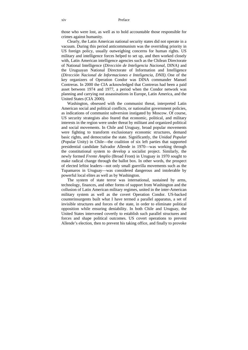those who were lost, as well as to hold accountable those responsible for crimes against humanity.

Clearly, the Latin American national security states did not operate in a vacuum. During this period anticommunism was the overriding priority in US foreign policy, usually outweighing concerns for human rights. US military and intelligence forces helped to set up, and then worked closely with, Latin American intelligence agencies such as the Chilean Directorate of National Intelligence (*Dirección de Inteligencia Nacional*, DINA) and the Uruguayan National Directorate of Information and Intelligence (*Dirección Nacional de Informaciones e Inteligencia, DNII)*. One of the key organizers of Operation Condor was DINA commander Manuel Contreras. In 2000 the CIA acknowledged that Contreras had been a paid asset between 1974 and 1977, a period when the Condor network was planning and carrying out assassinations in Europe, Latin America, and the United States (CIA 2000).

Washington, obsessed with the communist threat, interpreted Latin American social and political conflicts, or nationalist government policies, as indications of communist subversion instigated by Moscow. Of course, US security strategists also feared that economic, political, and military interests in the region were under threat by militant and organized political and social movements. In Chile and Uruguay, broad popular movements were fighting to transform exclusionary economic structures, demand basic rights, and democratise the state. Significantly, the *Unidad Popular* (Popular Unity) in Chile—the coalition of six left parties that supported presidential candidate Salvador Allende in 1970—was working through the constitutional system to develop a socialist project. Similarly, the newly formed *Frente Amplio* (Broad Front) in Uruguay in 1970 sought to make radical change through the ballot box. In other words, the prospect of elected leftist leaders—not only small guerrilla movements such as the Tupamaros in Uruguay—was considered dangerous and intolerable by powerful local elites as well as by Washington.

The system of state terror was international, sustained by arms, technology, finances, and other forms of support from Washington and the collusion of Latin American military regimes, united in the inter-American military system as well as the covert Operation Condor. US-backed counterinsurgents built what I have termed a parallel apparatus, a set of invisible structures and forces of the state, in order to eliminate political opposition while ensuring deniability. In both Chile and Uruguay, the United States intervened covertly to establish such parallel structures and forces and shape political outcomes. US covert operations to prevent Allende's election, then to prevent his taking office, and finally to provoke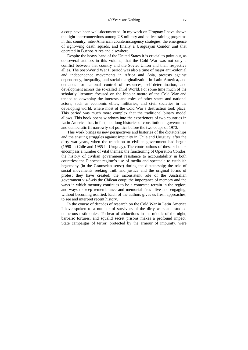a coup have been well-documented. In my work on Uruguay I have shown the tight interconnections among US military and police training programs in that country, inter-American counterinsurgency strategies, the emergence of right-wing death squads, and finally a Uruguayan Condor unit that operated in Buenos Aires and elsewhere.

Despite the heavy hand of the United States it is crucial to point out, as do several authors in this volume, that the Cold War was not only a conflict between that country and the Soviet Union and their respective allies. The post-World War II period was also a time of major anti-colonial and independence movements in Africa and Asia, protests against dependency, inequality, and social marginalization in Latin America, and demands for national control of resources, self-determination, and development across the so-called Third World. For some time much of the scholarly literature focused on the bipolar nature of the Cold War and tended to downplay the interests and roles of other states and national actors, such as economic elites, militaries, and civil societies in the developing world, where most of the Cold War's destruction took place. This period was much more complex that the traditional binary model allows. This book opens windows into the experiences of two countries in Latin America that, in fact, had long histories of constitutional government and democratic (if narrowly so) politics before the two coups of 1973.

This work brings us new perspectives and histories of the dictatorships and the ensuing struggles against impunity in Chile and Uruguay, after the dirty war years, when the transition to civilian government had begun (1990 in Chile and 1985 in Uruguay). The contributions of these scholars encompass a number of vital themes: the functioning of Operation Condor; the history of civilian government resistance to accountability in both countries; the Pinochet regime's use of media and spectacle to establish hegemony (in the Gramscian sense) during the dictatorship; the role of social movements seeking truth and justice and the original forms of protest they have created; the inconsistent role of the Australian government vis-à-vis the Chilean coup; the importance of memory and the ways in which memory continues to be a contested terrain in the region; and ways to keep remembrance and memorial sites alive and engaging, without becoming ossified. Each of the authors gives us fresh approaches, to see and interpret recent history.

In the course of decades of research on the Cold War in Latin America I have spoken to a number of survivors of the dirty wars and studied numerous testimonies. To hear of abductions in the middle of the night, barbaric tortures, and squalid secret prisons makes a profound impact. State campaigns of terror, protected by the armour of impunity, were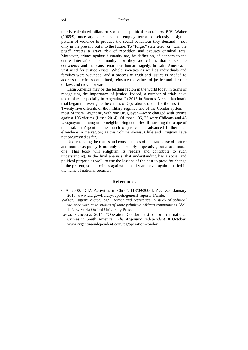#### xvi Preface

utterly calculated pillars of social and political control. As E.V. Walter (1969:9) once argued, states that employ terror consciously design a pattern of violence to produce the social behaviour they demand —not only in the present, but into the future. To "forget" state terror or "turn the page" creates a grave risk of repetition and excuses criminal acts. Moreover, crimes against humanity are, by definition, of concern to the entire international community, for they are crimes that shock the conscience and that cause enormous human tragedy. In Latin America, a vast need for justice exists. Whole societies as well as individuals and families were wounded, and a process of truth and justice is needed to address the crimes committed, reinstate the values of justice and the rule of law, and move forward.

Latin America may be the leading region in the world today in terms of recognising the importance of justice. Indeed, a number of trials have taken place, especially in Argentina. In 2013 in Buenos Aires a landmark trial began to investigate the crimes of Operation Condor for the first time. Twenty-five officials of the military regimes and of the Condor system most of them Argentine, with one Uruguayan—were charged with crimes against 106 victims (Lessa 2014). Of those 106, 22 were Chileans and 48 Uruguayans, among other neighbouring countries, illustrating the scope of the trial. In Argentina the march of justice has advanced further than elsewhere in the region; as this volume shows, Chile and Uruguay have not progressed as far.

Understanding the causes and consequences of the state's use of torture and murder as policy is not only a scholarly imperative, but also a moral one. This book will enlighten its readers and contribute to such understanding. In the final analysis, that understanding has a social and political purpose as well: to use the lessons of the past to press for change in the present, so that crimes against humanity are never again justified in the name of national security.

#### **References**

- CIA. 2000. "CIA Activities in Chile". [18/09/2000]. Accessed January 2015. www.cia.gov/library/reports/general-reports-1/chile.
- Walter, Eugene Victor. 1969. *Terror and resistance: A study of political violence with case studies of some primitive African communities*. Vol. 1. New York: Oxford University Press.
- Lessa, Francesca. 2014. "Operation Condor: Justice for Transnational Crimes in South America". *The Argentina Independent.* 8 October. www.argentinaindependent.com/tag/operation-condor.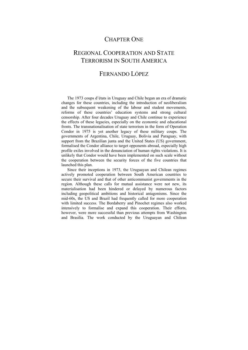## CHAPTER ONE

## REGIONAL COOPERATION AND STATE TERRORISM IN SOUTH AMERICA

## FERNANDO LÓPEZ

The 1973 coups d'états in Uruguay and Chile began an era of dramatic changes for these countries, including the introduction of neoliberalism and the subsequent weakening of the labour and student movements, reforms of these countries' education systems and strong cultural censorship. After four decades Uruguay and Chile continue to experience the effects of these legacies, especially on the economic and educational fronts. The transnationalisation of state terrorism in the form of Operation Condor in 1975 is yet another legacy of these military coups. The governments of Argentina, Chile, Uruguay, Bolivia and Paraguay, with support from the Brazilian junta and the United States (US) government, formalised the Condor alliance to target opponents abroad, especially high profile exiles involved in the denunciation of human rights violations. It is unlikely that Condor would have been implemented on such scale without the cooperation between the security forces of the five countries that launched this plan.

Since their inceptions in 1973, the Uruguayan and Chilean regimes actively promoted cooperation between South American countries to secure their survival and that of other anticommunist governments in the region. Although these calls for mutual assistance were not new, its materialisation had been hindered or delayed by numerous factors including geopolitical ambitions and historical antagonisms. Since the mid-60s, the US and Brazil had frequently called for more cooperation with limited success. The Bordaberry and Pinochet regimes also worked intensively to formalise and expand this cooperation. Their efforts, however, were more successful than previous attempts from Washington and Brasilia. The work conducted by the Uruguayan and Chilean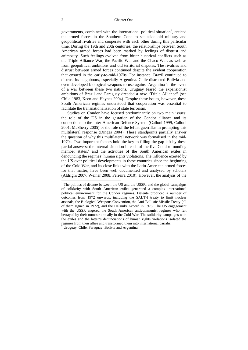#### 2 Chapter One

governments, combined with the international political situation<sup>1</sup>, enticed the armed forces in the Southern Cone to set aside old military and geopolitical rivalries and cooperate with each other during this particular time. During the 19th and 20th centuries, the relationships between South American armed forces had been marked by feelings of distrust and animosity. Such feelings evolved from bitter historical conflicts such as the Triple Alliance War, the Pacific War and the Chaco War, as well as from geopolitical ambitions and old territorial disputes. The rivalries and distrust between armed forces continued despite the evident cooperation that ensued in the early-to-mid-1970s. For instance, Brazil continued to distrust its neighbours, especially Argentina. Chile distrusted Bolivia and even developed biological weapons to use against Argentina in the event of a war between these two nations. Uruguay feared the expansionist ambitions of Brazil and Paraguay dreaded a new "Triple Alliance" (see Child 1983, Keen and Haynes 2004). Despite these issues, however, these South American regimes understood that cooperation was essential to facilitate the transnationalisation of state terrorism.

Studies on Condor have focused predominantly on two main issues: the role of the US in the gestation of the Condor alliance and its connections to the Inter-American Defence System (Calloni 1999, Calloni 2001, McSherry 2005) or the role of the leftist guerrillas in prompting this multilateral response (Dinges 2004). These standpoints partially answer the question of why this multilateral network was formalised in the mid-1970s. Two important factors hold the key to filling the gap left by these partial answers: the internal situation in each of the five Condor founding member states.<sup>2</sup> and the activities of the South American exiles in denouncing the regimes' human rights violations. The influence exerted by the US over political developments in these countries since the beginning of the Cold War, and its close links with the Latin American armed forces for that matter, have been well documented and analysed by scholars (Aldrighi 2007, Weiner 2008, Ferreira 2010). However, the analysis of the

j

<sup>&</sup>lt;sup>1</sup> The politics of détente between the US and the USSR, and the global campaigns of solidarity with South American exiles generated a complex international political environment for the Condor regimes. Détente produced a number of outcomes from 1972 onwards, including the SALT-I treaty to limit nuclear arsenals, the Biological Weapons Convention, the Anti-Ballistic Missile Treaty (all of them signed in 1972), and the Helsinki Accord in 1975. The US engagement with the USSR angered the South American anticommunist regimes who felt betrayed by their number one ally in the Cold War. The solidarity campaigns with the exiles and the latter's denunciations of human rights violations isolated the regimes from their allies and transformed them into international pariahs. 2

 $2$  Uruguay, Chile, Paraguay, Bolivia and Argentina.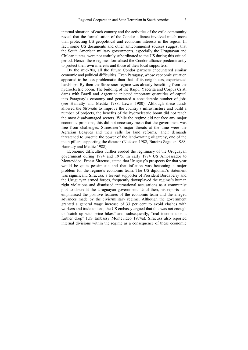internal situation of each country and the activities of the exile community reveal that the formalisation of the Condor alliance involved much more than protecting US geopolitical and economic interests in the region. In fact, some US documents and other anticommunist sources suggest that the South American military governments, especially the Uruguayan and Chilean juntas, were not entirely subordinated to the US during this critical period. Hence, these regimes formalised the Condor alliance predominantly to protect their own interests and those of their local supporters.

By the mid-70s, all the future Condor partners encountered similar economic and political difficulties. Even Paraguay, whose economic situation appeared to be less problematic than that of its neighbours, experienced hardships. By then the Stroessner regime was already benefiting from the hydroelectric boom. The building of the Itaipú, Yaceritá and Corpus Cristi dams with Brazil and Argentina injected important quantities of capital into Paraguay's economy and generated a considerable number of jobs (see Hanratty and Meditz 1988, Lewis 1980). Although these funds allowed the *Stronato* to improve the country's infrastructure and build a number of projects, the benefits of the hydroelectric boom did not reach the most disadvantaged sectors. While the regime did not face any major economic problems, this did not necessary mean that the government was free from challenges. Stroessner's major threats at the time were the Agrarian Leagues and their calls for land reforms. Their demands threatened to unsettle the power of the land-owning oligarchy, one of the main pillars supporting the dictator (Nickson 1982, Bareiro Saguier 1988, Hanratty and Meditz 1988).

Economic difficulties further eroded the legitimacy of the Uruguayan government during 1974 and 1975. In early 1974 US Ambassador to Montevideo, Ernest Siracusa, stated that Uruguay's prospects for that year would be quite pessimistic and that inflation was becoming a major problem for the regime's economic team. The US diplomat's statement was significant. Siracusa, a fervent supporter of President Bordaberry and the Uruguayan armed forces, frequently downplayed the regime's human right violations and dismissed international accusations as a communist plot to discredit the Uruguayan government. Until then, his reports had emphasised the positive features of the economic team and the alleged advances made by the civic/military regime. Although the government granted a general wage increase of 33 per cent to avoid clashes with workers and trade unions, the US embassy argued that this was not enough to "catch up with price hikes" and, subsequently, "real income took a further drop" (US Embassy Montevideo 1974a). Siracusa also reported internal divisions within the regime as a consequence of these economic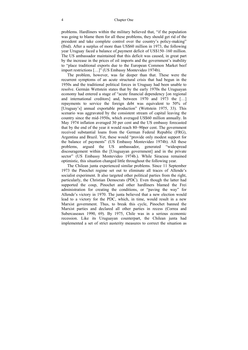#### 4 Chapter One

problems. Hardliners within the military believed that, "if the population was going to blame them for all these problems, they should get rid of the president and take complete control over the country's policy-making" (Ibid). After a surplus of more than US\$60 million in 1973, the following year Uruguay faced a balance of payment deficit of US\$150–160 million. The US ambassador maintained that this deficit was caused, in great part by the increase in the prices of oil imports and the government's inability to "place traditional exports due to the European Common Market beef import restrictions […]" (US Embassy Montevideo 1974b).

The problem, however, was far deeper than that. These were the recurrent symptoms of an acute structural crisis that had begun in the 1950s and the traditional political forces in Uruguay had been unable to resolve. Germán Wettstein states that by the early 1970s the Uruguayan economy had entered a stage of "acute financial dependency [on regional and international creditors] and, between 1970 and 1973 the […] repayments to service the foreign debt was equivalent to 50% of [Uruguay's] annual exportable production" (Wettstein 1975, 33). This scenario was aggravated by the consistent stream of capital leaving the country since the mid-1950s, which averaged US\$60 million annually. In May 1974 inflation averaged 30 per cent and the US embassy forecasted that by the end of the year it would reach 80–90per cent. The government received substantial loans from the German Federal Republic (FRG), Argentina and Brazil. Yet, these would "provide only modest support for the balance of payments" (US Embassy Montevideo 1974b). All these problems, argued the US ambassador, generated "widespread discouragement within the [Uruguayan government] and in the private sector" (US Embassy Montevideo 1974b.). While Siracusa remained optimistic, this situation changed little throughout the following year.

The Chilean junta experienced similar problems. Since 11 September 1973 the Pinochet regime set out to eliminate all traces of Allende's socialist experiment. It also targeted other political parties from the right, particularly, the Christian Democrats (PDC). Even though the latter had supported the coup, Pinochet and other hardliners blamed the Frei administration for creating the conditions, or "paving the way" for Allende's victory in 1970. The junta believed that a new election would lead to a victory for the PDC, which, in time, would result in a new Marxist government. Thus, to break this cycle, Pinochet banned the Marxist parties and declared all other parties in recess (Correa and Subercaseaux 1990, 69). By 1975, Chile was in a serious economic recession. Like its Uruguayan counterpart, the Chilean junta had implemented a set of strict austerity measures to correct the situation as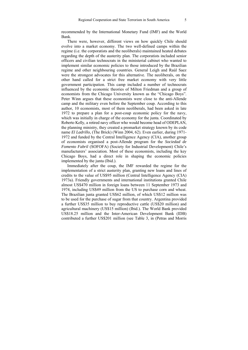recommended by the International Monetary Fund (IMF) and the World Bank.

There were, however, different views on how quickly Chile should evolve into a market economy. The two well-defined camps within the regime (i.e. the corporatists and the neoliberals) maintained heated debates regarding the depth of the austerity plan. The corporatists included senior officers and civilian technocrats in the ministerial cabinet who wanted to implement similar economic policies to those introduced by the Brazilian regime and other neighbouring countries. General Leigh and Raúl Saez were the strongest advocates for this alternative. The neoliberals, on the other hand called for a strict free market economy with very little government participation. This camp included a number of technocrats influenced by the economic theories of Milton Friedman and a group of economists from the Chicago University known as the "Chicago Boys". Peter Winn argues that these economists were close to the anti-Allende camp and the military even before the September coup. According to this author, 10 economists, most of them neoliberals, had been asked in late 1972 to prepare a plan for a post-coup economic policy for the navy, which was initially in charge of the economy for the junta. Coordinated by Roberto Kelly, a retired navy officer who would become head of ODEPLAN, the planning ministry, they created a promarket strategy known by its code name *El Ladrillo,* (The Brick) (Winn 2004, 62). Even earlier, during 1971- 1972 and funded by the Central Intelligence Agency (CIA), another group of economists organised a post-Allende program for the *Sociedad de Fomento Fabril* (SOFOFA) (Society for Industrial Development) Chile's manufacturers' association. Most of these economists, including the key Chicago Boys, had a direct role in shaping the economic policies implemented by the junta (Ibid.).

Immediately after the coup, the IMF rewarded the regime for the implementation of a strict austerity plan, granting new loans and lines of credits to the value of US\$95 million (Central Intelligence Agency (CIA) 1973a). Friendly governments and international institutions granted Chile almost US\$470 million in foreign loans between 11 September 1973 and 1974, including US\$49 million from the US to purchase corn and wheat. The Brazilian junta granted US\$62 million, of which US\$12 million was to be used for the purchase of sugar from that country. Argentina provided a further US\$35 million to buy reproductive cattle (US\$20 million) and agricultural machinery (US\$15 million) (Ibid.). The World Bank provided US\$18.25 million and the Inter-American Development Bank (IDB) contributed a further US\$201 million (see Table 3, in (Petras and Morris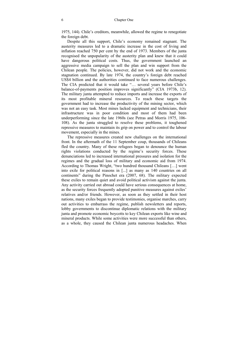1975, 144). Chile's creditors, meanwhile, allowed the regime to renegotiate the foreign debt.

Despite all this support, Chile's economy remained stagnant. The austerity measures led to a dramatic increase in the cost of living and inflation reached 750 per cent by the end of 1973. Members of the junta recognised the unpopularity of the austerity plan and knew that it could have dangerous political costs. Thus, the government launched an aggressive media campaign to sell the plan and win support from the Chilean people. The policies, however, did not work and the economic stagnation continued. By late 1974, the country's foreign debt reached US\$4 billion and the authorities continued to face numerous challenges. The CIA predicted that it would take "… several years before Chile's balance-of-payments position improves significantly" (CIA 1973b, 12). The military junta attempted to reduce imports and increase the exports of its most profitable mineral resources. To reach these targets the government had to increase the productivity of the mining sector, which was not an easy task. Most mines lacked equipment and technicians, their infrastructure was in poor condition and most of them had been underperforming since the late 1960s (see Petras and Morris 1975, 106- 108). As the junta struggled to resolve these problems, it toughened repressive measures to maintain its grip on power and to control the labour movement, especially in the mines.

The repressive measures created new challenges on the international front. In the aftermath of the 11 September coup, thousands of Chileans fled the country. Many of these refugees began to denounce the human rights violations conducted by the regime's security forces. These denunciations led to increased international pressures and isolation for the regimes and the gradual loss of military and economic aid from 1974. According to Thomas Wright, "two hundred thousand Chileans […] went into exile for political reasons in [...] as many as 140 countries on all continents" during the Pinochet era (2007, 68). The military expected these exiles to remain quiet and avoid political activism against the junta. Any activity carried out abroad could have serious consequences at home, as the security forces frequently adopted punitive measures against exiles' relatives and/or friends. However, as soon as they settled in their host nations, many exiles began to provide testimonies, organise marches, carry out activities to embarrass the regime, publish newsletters and reports, lobby governments to discontinue diplomatic relations with the military junta and promote economic boycotts to key Chilean exports like wine and mineral products. While some activities were more successful than others, as a whole, they caused the Chilean junta numerous headaches. When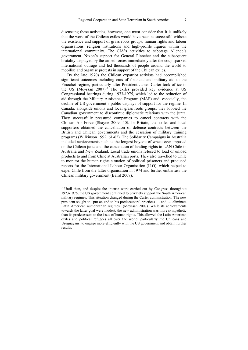discussing these activities, however, one must consider that it is unlikely that the work of the Chilean exiles would have been as successful without the existence and support of grass roots groups, human rights and labour organisations, religion institutions and high-profile figures within the international community. The CIA's activities to sabotage Allende's government, Nixon's support for General Pinochet and the subsequent brutality displayed by the armed forces immediately after the coup sparked international outrage and led thousands of people around the world to mobilise and organise protests in support of the Chilean exiles.

By the late 1970s the Chilean expatriot activists had accomplished significant outcomes including cuts of financial and military aid to the Pinochet regime, particularly after President James Carter took office in the US (Meyssan  $2007$ ).<sup>3</sup> The exiles provided key evidence at US Congressional hearings during 1973-1975, which led to the reduction of aid through the Military Assistance Program (MAP) and, especially, the decline of US government's public displays of support for the regime. In Canada, alongside unions and local grass roots groups, they lobbied the Canadian government to discontinue diplomatic relations with the junta. They successfully pressured companies to cancel contracts with the Chilean Air Force (Shayne 2009, 40). In Britain, the exiles and local supporters obtained the cancellation of defence contracts between the British and Chilean governments and the cessation of military training programs (Wilkinson 1992, 61-62). The Solidarity Campaigns in Australia included achievements such as the longest boycott of wheat ever imposed on the Chilean junta and the cancelation of landing rights to LAN Chile in Australia and New Zealand. Local trade unions refused to load or unload products to and from Chile at Australian ports. They also travelled to Chile to monitor the human rights situation of political prisoners and produced reports for the International Labour Organisation (ILO), which helped to expel Chile from the latter organisation in 1974 and further embarrass the Chilean military government (Baird 2007).

 $\overline{a}$ 

<sup>&</sup>lt;sup>3</sup> Until then, and despite the intense work carried out by Congress throughout 1973-1976, the US government continued to privately support the South American military regimes. This situation changed during the Carter administration. The new president sought to "put an end to his predecessors' practices … and … eliminate Latin American authoritarian regimes" (Meyssan 2007). While its achievements towards the latter goal were modest, the new administration was more sympathetic than its predecessors to the issue of human rights. This allowed the Latin American exiles and political refugees all over the world, particularly the Chileans and Uruguayans, to engage more efficiently with the US government and obtain further results.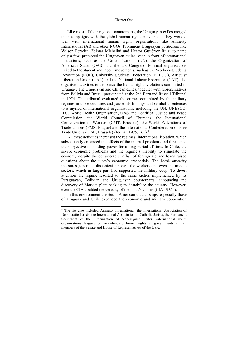Like most of their regional counterparts, the Uruguayan exiles merged their campaigns with the global human rights movement. They worked well with international human rights organisations like Amnesty International (AI) and other NGOs. Prominent Uruguayan politicians like Wilson Ferreira, Zelmar Michelini and Héctor Gutiérrez Ruiz, to name only a few, promoted the Uruguayan exiles' case in front of international institutions, such as the United Nations (UN), the Organization of American States (OAS) and the US Congress. Political organisations linked to the student and labour movements, such as the Workers–Students Revolution (ROE), University Students' Federation (FEEUU), Artiguist Liberation Union (UAL) and the National Labour Federation (CNT) also organised activities to denounce the human rights violations committed in Uruguay. The Uruguayan and Chilean exiles, together with representatives from Bolivia and Brazil, participated at the 2nd Bertrand Russell Tribunal in 1974. This tribunal evaluated the crimes committed by the military regimes in those countries and passed its findings and symbolic sentences to a myriad of international organisations, including the UN, UNESCO, ILO, World Health Organisation, OAS, the Pontifical Justice and Peace Commission, the World Council of Churches, the International Confederation of Workers (CMT, Brussels), the World Federations of Trade Unions (FMS, Prague) and the International Confederation of Free Trade Unions (CISL, Brussels) (Jerman 1975, 161).4

All these activities increased the regimes' international isolation, which subsequently enhanced the effects of the internal problems and threatened their objective of holding power for a long period of time. In Chile, the severe economic problems and the regime's inability to stimulate the economy despite the considerable influx of foreign aid and loans raised questions about the junta's economic credentials. The harsh austerity measures generated discontent amongst the workers and even the middle sectors, which in large part had supported the military coup. To divert attention the regime resorted to the same tactics implemented by its Paraguayan, Bolivian and Uruguayan counterparts, announcing the discovery of Marxist plots seeking to destabilise the country. However, even the CIA doubted the veracity of the junta's claims (CIA 1975b).

In this environment the South American dictatorships, especially those of Uruguay and Chile expanded the economic and military cooperation

 $\overline{a}$ 

<sup>&</sup>lt;sup>4</sup> The list also included Amnesty International, the International Association of Democratic Jurists, the International Association of Catholic Jurists, the Permanent Secretariat of the Organisation of Non-aligned States, international youth organisations, leagues for the defence of human rights, all governments, and all members of the Senate and House of Representatives of the USA.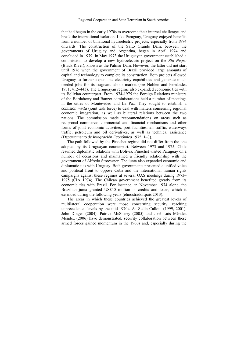that had begun in the early 1970s to overcome their internal challenges and break the international isolation. Like Paraguay, Uruguay enjoyed benefits from a number of binational hydroelectric projects, especially from 1974 onwards. The construction of the Salto Grande Dam, between the governments of Uruguay and Argentina, began in April 1974 and concluded in 1979. In May 1973 the Uruguayan government established a commission to develop a new hydroelectric project on the *Río Negro*  (Black River), known as the Palmar Dam. However, the latter did not start until 1976 when the government of Brazil provided large amounts of capital and technology to complete its construction. Both projects allowed Uruguay to further expand its electricity capabilities and generate much needed jobs for its stagnant labour market (see Nohlen and Fernández 1981, 412–443). The Uruguayan regime also expanded economic ties with its Bolivian counterpart. From 1974-1975 the Foreign Relations ministers of the Bordaberry and Banzer administrations held a number of meetings in the cities of Montevideo and La Paz. They sought to establish a *comisión mixta* (joint task force) to deal with matters concerning regional economic integration, as well as bilateral relations between the two nations. The commission made recommendations on areas such as reciprocal commerce, commercial and financial mechanisms and other forms of joint economic activities, port facilities, air traffic, waterways traffic, petroleum and oil derivatives, as well as technical assistance (*Departamento de Integración Económica* 1975, 1–3).

The path followed by the Pinochet regime did not differ from the one adopted by its Uruguayan counterpart. Between 1973 and 1975, Chile resumed diplomatic relations with Bolivia, Pinochet visited Paraguay on a number of occasions and maintained a friendly relationship with the government of Alfredo Stroessner. The junta also expanded economic and diplomatic ties with Uruguay. Both governments presented a unified voice and political front to oppose Cuba and the international human rights campaigns against these regimes at several OAS meetings during 1973– 1975 (CIA 1974). The Chilean government benefited greatly from its economic ties with Brazil. For instance, in November 1974 alone, the Brazilian junta granted US\$40 million in credits and loans, which it extended during the following years (elmostrador.país 2013).

The areas in which these countries achieved the greatest levels of multilateral cooperation were those concerning security, reaching unprecedented levels by the mid-1970s. As Stella Calloni (1999, 2001), John Dinges (2004), Patrice McSherry (2005) and José Luis Méndez Méndez (2006) have demonstrated, security collaboration between these armed forces gained momentum in the 1960s and, especially during the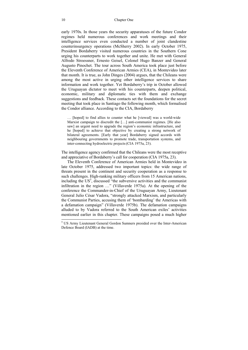early 1970s. In those years the security apparatuses of the future Condor regimes held numerous conferences and work meetings and their intelligence services even conducted a number of joint clandestine counterinsurgency operations (McSherry 2002). In early October 1975, President Bordaberry visited numerous countries in the Southern Cone urging his counterparts to work together and unite. He met with General Alfredo Stroessner, Ernesto Geisel, Colonel Hugo Banzer and General Augusto Pinochet. The tour across South America took place just before the Eleventh Conference of American Armies (CEA), in Montevideo later that month. It is true, as John Dinges (2004) argues, that the Chileans were among the most active in urging other intelligence services to share information and work together. Yet Bordaberry's trip in October allowed the Uruguayan dictator to meet with his counterparts, deepen political, economic, military and diplomatic ties with them and exchange suggestions and feedback. These contacts set the foundations for the secret meeting that took place in Santiago the following month, which formalised the Condor alliance. According to the CIA, Bordaberry

… [hoped] to find allies to counter what he [viewed] was a world-wide Marxist campaign to discredit the […] anti-communist regimes. [He also saw] an urgent need to upgrade the region's economic infrastructure, and he [hoped] to achieve that objective by creating a strong network of bilateral agreements. [Early that year] Bordaberry signed accords with neighbouring governments to promote trade, transportation systems, and inter-connecting hydroelectric projects(CIA 1975a, 23).

The intelligence agency confirmed that the Chileans were the most receptive and appreciative of Bordaberry's call for cooperation (CIA 1975a, 23).

The Eleventh Conference of American Armies held in Montevideo in late October 1975, addressed two important topics: the wide range of threats present in the continent and security cooperation as a response to such challenges. High-ranking military officers from 15 American nations, including the  $US<sup>5</sup>$ , discussed "the subversive activities and the communist infiltration in the region …" (Villaverde 1975a). At the opening of the conference the Commander-in-Chief of the Uruguayan Army, Lieutenant General Julio César Vadora, "strongly attacked Marxism, and particularly the Communist Parties, accusing them of 'bombarding' the Americas with a defamation campaign" (Villaverde 1975b). The defamation campaigns alluded to by Vadora referred to the South American exiles' activities mentioned earlier in this chapter. These campaigns posed a much higher

 $\overline{a}$ 

<sup>&</sup>lt;sup>5</sup> US Army Lieutenant General Gordon Sumners presided over the Inter-American Defence Board (IADB) at the time.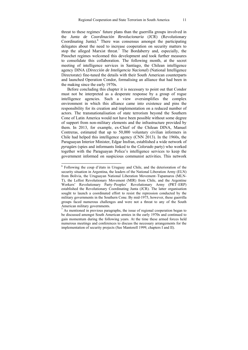threat to these regimes' future plans than the guerrilla groups involved in the *Junta de Coordinación Revolucionaria* (JCR) (Revolutionary Coordinating Junta).<sup>6</sup> There was consensus amongst the participating delegates about the need to increase cooperation on security matters to stop the alleged Marxist threat.<sup>7</sup> The Bordaberry and, especially, the Pinochet regimes welcomed this development and took further measures to consolidate this collaboration. The following month, at the secret meeting of intelligence services in Santiago, the Chilean intelligence agency DINA (*Dirección de Inteligencia Nacional*) (National Intelligence Directorate) fine-tuned the details with their South American counterparts and launched Operation Condor, formalising an alliance that had been in the making since the early 1970s.

Before concluding this chapter it is necessary to point out that Condor must not be interpreted as a desperate response by a group of rogue intelligence agencies. Such a view oversimplifies the complex environment in which this alliance came into existence and pins the responsibility for its creation and implementation on a reduced number of actors. The transnationalisation of state terrorism beyond the Southern Cone of Latin America would not have been possible without some degree of support from non-military elements and the infrastructure provided by them. In 2013, for example, ex-Chief of the Chilean DINA, Manuel Contreras, estimated that up to 50,000 voluntary civilian informers in Chile had helped this intelligence agency (CNN 2013). In the 1960s, the Paraguayan Interior Minister, Edgar Insfran, established a wide network of *pyragües* (spies and informants linked to the *Colorado* party) who worked together with the Paraguayan Police's intelligence services to keep the government informed on suspicious communist activities*.* This network

 6 Following the coup d'états in Uruguay and Chile, and the deterioration of the security situation in Argentina, the leaders of the National Liberation Army (ELN) from Bolivia, the Uruguayan National Liberation Movement–Tupamaros (MLN-T), the Leftist Revolutionary Movement (MIR) from Chile, and the Argentine Workers' Revolutionary Party–Peoples' Revolutionary Army (PRT–ERP) established the Revolutionary Coordinating Junta (JCR). The latter organisation sought to launch a coordinated effort to resist the repression conducted by the military governments in the Southern Cone. By mid-1975, however, these guerrilla groups faced numerous challenges and were not a threat to any of the South American military governments.

 $\frac{7}{1}$  As mentioned in previous paragraphs, the issue of regional cooperation began to be discussed amongst South American armies in the early 1970s and continued to gain momentum during the following years. At the time these armed forces held numerous meetings and conferences to discuss the necessary arrangements for the implementation of security projects (See Mantorell 1999, chapters I and II).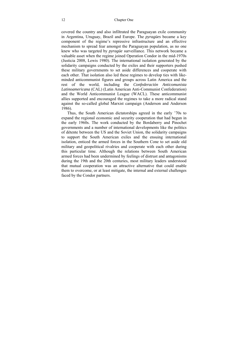covered the country and also infiltrated the Paraguayan exile community in Argentina, Uruguay, Brazil and Europe. The *pyragües* became a key component of the regime's repressive infrastructure and an effective mechanism to spread fear amongst the Paraguayan population, as no one knew who was targeted by *pyragüe* surveillance. This network became a valuable asset when the regime joined Operation Condor in the mid-1970s (Justicia 2008, Lewis 1980). The international isolation generated by the solidarity campaigns conducted by the exiles and their supporters pushed these military governments to set aside differences and cooperate with each other. That isolation also led these regimes to develop ties with likeminded anticommunist figures and groups across Latin America and the rest of the world, including the *Confederación Anticomunista Latinoamericana* (CAL) (Latin American Anti-Communist Confederation) and the World Anticommunist League (WACL). These anticommunist allies supported and encouraged the regimes to take a more radical stand against the so-called global Marxist campaign (Anderson and Anderson 1986).

Thus, the South American dictatorships agreed in the early '70s to expand the regional economic and security cooperation that had begun in the early 1960s. The work conducted by the Bordaberry and Pinochet governments and a number of international developments like the politics of détente between the US and the Soviet Union, the solidarity campaigns to support the South American exiles and the ensuing international isolation, enticed the armed forces in the Southern Cone to set aside old military and geopolitical rivalries and cooperate with each other during this particular time. Although the relations between South American armed forces had been undermined by feelings of distrust and antagonisms during the 19th and the 20th centuries, most military leaders understood that mutual cooperation was an attractive alternative that could enable them to overcome, or at least mitigate, the internal and external challenges faced by the Condor partners.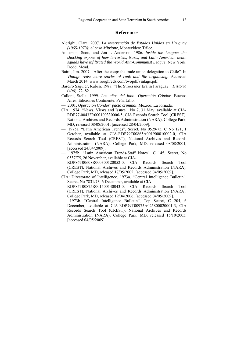### **References**

- Aldrighi, Clara. 2007. *La intervención de Estados Unidos en Uruguay (1965-1973): el caso Mitrione*, Montevideo: Trilce.
- Anderson, Scott, and Jon L Anderson. 1986. *Inside the League: the shocking expose of how terrorists, Nazis, and Latin American death squads have infiltrated the World Anti-Communist League*. New York: Dodd, Mead.
- Baird, Jim. 2007. "After the coup: the trade union delegation to Chile". In *Vintage reds: more stories of rank and file organising.* Accessed March 2014. www.roughreds.com/twopdf/vintage.pdf.
- Bareiro Saguier, Rubén. 1988. "The Stroessner Era in Paraguay". *Historia* (496): 72–82.
- Calloni, Stella. 1999. *Los años del lobo: Operación Cóndor*. Buenos Aires: Ediciones Continente: Peña Lillo.
- —. 2001. *Operación Cóndor: pacto criminal*. México: La Jornada.
- CIA. 1974. "News, Views and Issues", No 7, 31 May, available at CIA-RDP77-00432R000100330006-5, CIA Records Search Tool (CREST), National Archives and Records Administration (NARA), College Park, MD, released 08/08/2001, [accessed 28/04/2009].
- —. 1975a. "Latin American Trends", Secret, No 0529/75, C No 121, 1 October, available at CIA-RDP79T00865A001900010002-0, CIA Records Search Tool (CREST), National Archives and Records Administration (NARA), College Park, MD, released 08/08/2001, [accessed 24/04/2009].
- —. 1975b. "Latin American Trends-Staff Notes", C 145, Secret, No 0537/75, 26 November, available at CIA-RDP86T00608R000300120052-0, CIA Records Search Tool (CREST), National Archives and Records Administration (NARA), College Park, MD, released 17/05/2002, [accessed 04/05/2009].
- CIA: Directorate of Intelligence. 1973a. "Central Intelligence Bulletin", Secret, No 7831/73, 6 December, available at CIA-RDP85T00875R001500140043-0, CIA Records Search Tool (CREST), National Archives and Records Administration (NARA), College Park, MD, released 19/04/2006, [accessed 04/05/2009].
- —. 1973b. "Central Intelligence Bulletin", Top Secret, C 204, 6 December, available at CIA-RDP79T00975A025800020001-3, CIA Records Search Tool (CREST), National Archives and Records Administration (NARA), College Park, MD, released 15/10/2003, [accessed 04/05/2009].